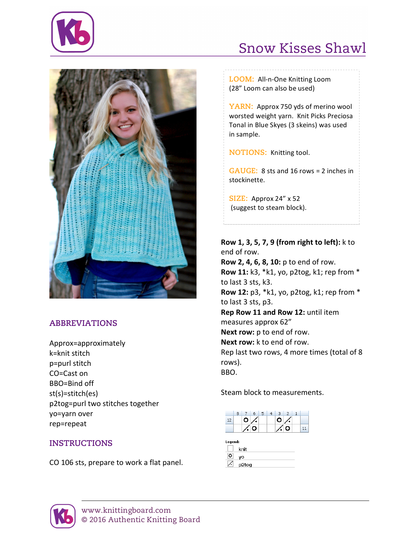

## Snow Kisses Shawl



## **ABBREVIATIONS**

Approx=approximately k=knit stitch p=purl stitch CO=Cast on BBO=Bind off st(s)=stitch(es) p2tog=purl two stitches together yo=yarn over rep=repeat

## **INSTRUCTIONS**

CO 106 sts, prepare to work a flat panel.

LOOM: All-n-One Knitting Loom (28" Loom can also be used)

YARN: Approx 750 yds of merino wool worsted weight yarn. Knit Picks Preciosa Tonal in Blue Skyes (3 skeins) was used in sample.

**NOTIONS:** Knitting tool.

**GAUGE:** 8 sts and 16 rows = 2 inches in stockinette.

**SIZE:** Approx 24" x 52 (suggest to steam block).

**Row 1, 3, 5, 7, 9 (from right to left):** k to end of row. **Row 2, 4, 6, 8, 10:** p to end of row. **Row 11:** k3, \*k1, yo, p2tog, k1; rep from \* to last 3 sts, k3. **Row 12:** p3, \*k1, yo, p2tog, k1; rep from \* to last 3 sts, p3. **Rep Row 11 and Row 12: until item** measures approx 62" **Next row:** p to end of row. **Next row:** k to end of row. Rep last two rows, 4 more times (total of 8 rows). BBO.

Steam block to measurements.



| egend: |       |
|--------|-------|
|        | knit  |
| o      | VO    |
|        | p2tog |
|        |       |